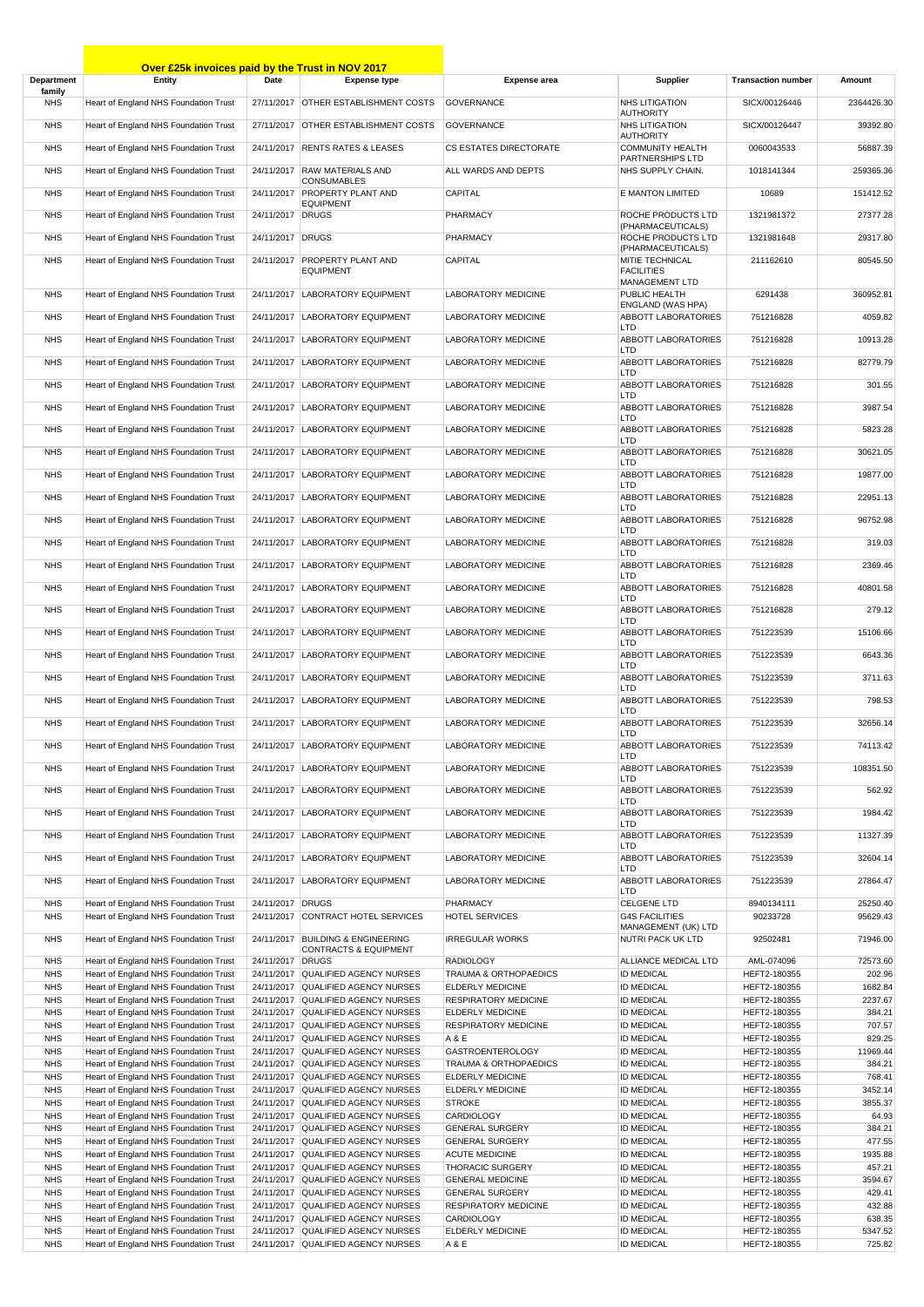|                          | Over £25k invoices paid by the Trust in NOV 2017                               |                  |                                                                          |                                                 |                                              |                              |                   |
|--------------------------|--------------------------------------------------------------------------------|------------------|--------------------------------------------------------------------------|-------------------------------------------------|----------------------------------------------|------------------------------|-------------------|
| Department               | Entity                                                                         | Date             | <b>Expense type</b>                                                      | <b>Expense area</b>                             | Supplier                                     | <b>Transaction number</b>    | Amount            |
| family<br><b>NHS</b>     | Heart of England NHS Foundation Trust                                          |                  | 27/11/2017 OTHER ESTABLISHMENT COSTS                                     | <b>GOVERNANCE</b>                               | <b>NHS LITIGATION</b>                        | SICX/00126446                | 2364426.30        |
|                          |                                                                                |                  |                                                                          |                                                 | <b>AUTHORITY</b>                             |                              |                   |
| <b>NHS</b>               | Heart of England NHS Foundation Trust                                          |                  | 27/11/2017 OTHER ESTABLISHMENT COSTS                                     | <b>GOVERNANCE</b>                               | <b>NHS LITIGATION</b><br><b>AUTHORITY</b>    | SICX/00126447                | 39392.80          |
| <b>NHS</b>               | Heart of England NHS Foundation Trust                                          |                  | 24/11/2017 RENTS RATES & LEASES                                          | <b>CS ESTATES DIRECTORATE</b>                   | COMMUNITY HEALTH<br>PARTNERSHIPS LTD         | 0060043533                   | 56887.39          |
| <b>NHS</b>               | Heart of England NHS Foundation Trust                                          |                  | 24/11/2017 RAW MATERIALS AND<br><b>CONSUMABLES</b>                       | ALL WARDS AND DEPTS                             | NHS SUPPLY CHAIN.                            | 1018141344                   | 259365.36         |
| <b>NHS</b>               | Heart of England NHS Foundation Trust                                          |                  | 24/11/2017 PROPERTY PLANT AND                                            | CAPITAL                                         | E MANTON LIMITED                             | 10689                        | 151412.52         |
| <b>NHS</b>               | Heart of England NHS Foundation Trust                                          | 24/11/2017 DRUGS | <b>EQUIPMENT</b>                                                         | PHARMACY                                        | ROCHE PRODUCTS LTD                           | 1321981372                   | 27377.28          |
| <b>NHS</b>               | Heart of England NHS Foundation Trust                                          | 24/11/2017 DRUGS |                                                                          | PHARMACY                                        | (PHARMACEUTICALS)<br>ROCHE PRODUCTS LTD      | 1321981648                   | 29317.80          |
| <b>NHS</b>               | Heart of England NHS Foundation Trust                                          |                  | 24/11/2017 PROPERTY PLANT AND                                            | <b>CAPITAL</b>                                  | (PHARMACEUTICALS)<br>MITIE TECHNICAL         | 211162610                    | 80545.50          |
|                          |                                                                                |                  | <b>EQUIPMENT</b>                                                         |                                                 | <b>FACILITIES</b><br><b>MANAGEMENT LTD</b>   |                              |                   |
| <b>NHS</b>               | Heart of England NHS Foundation Trust                                          |                  | 24/11/2017 LABORATORY EQUIPMENT                                          | LABORATORY MEDICINE                             | PUBLIC HEALTH                                | 6291438                      | 360952.81         |
| <b>NHS</b>               | Heart of England NHS Foundation Trust                                          |                  | 24/11/2017 LABORATORY EQUIPMENT                                          | LABORATORY MEDICINE                             | ENGLAND (WAS HPA)<br>ABBOTT LABORATORIES     | 751216828                    | 4059.82           |
| <b>NHS</b>               | Heart of England NHS Foundation Trust                                          |                  | 24/11/2017 LABORATORY EQUIPMENT                                          | LABORATORY MEDICINE                             | LTD<br>ABBOTT LABORATORIES                   | 751216828                    | 10913.28          |
| <b>NHS</b>               | Heart of England NHS Foundation Trust                                          |                  | 24/11/2017 LABORATORY EQUIPMENT                                          | <b>LABORATORY MEDICINE</b>                      | LTD<br>ABBOTT LABORATORIES                   | 751216828                    | 82779.79          |
| <b>NHS</b>               | Heart of England NHS Foundation Trust                                          |                  | 24/11/2017 LABORATORY EQUIPMENT                                          | <b>LABORATORY MEDICINE</b>                      | LTD<br>ABBOTT LABORATORIES                   | 751216828                    | 301.55            |
|                          |                                                                                |                  |                                                                          |                                                 | LTD                                          |                              |                   |
| <b>NHS</b>               | Heart of England NHS Foundation Trust                                          |                  | 24/11/2017 LABORATORY EQUIPMENT                                          | <b>LABORATORY MEDICINE</b>                      | <b>ABBOTT LABORATORIES</b><br>LTD            | 751216828                    | 3987.54           |
| <b>NHS</b>               | Heart of England NHS Foundation Trust                                          |                  | 24/11/2017 LABORATORY EQUIPMENT                                          | LABORATORY MEDICINE                             | ABBOTT LABORATORIES<br>LTD                   | 751216828                    | 5823.28           |
| <b>NHS</b>               | Heart of England NHS Foundation Trust                                          |                  | 24/11/2017 LABORATORY EQUIPMENT                                          | LABORATORY MEDICINE                             | ABBOTT LABORATORIES<br>LTD                   | 751216828                    | 30621.05          |
| <b>NHS</b>               | Heart of England NHS Foundation Trust                                          |                  | 24/11/2017   LABORATORY EQUIPMENT                                        | LABORATORY MEDICINE                             | <b>ABBOTT LABORATORIES</b><br>LTD            | 751216828                    | 19877.00          |
| <b>NHS</b>               | Heart of England NHS Foundation Trust                                          |                  | 24/11/2017 LABORATORY EQUIPMENT                                          | LABORATORY MEDICINE                             | ABBOTT LABORATORIES                          | 751216828                    | 22951.13          |
| <b>NHS</b>               | Heart of England NHS Foundation Trust                                          |                  | 24/11/2017 LABORATORY EQUIPMENT                                          | LABORATORY MEDICINE                             | LTD<br>ABBOTT LABORATORIES                   | 751216828                    | 96752.98          |
| <b>NHS</b>               | Heart of England NHS Foundation Trust                                          |                  | 24/11/2017   LABORATORY EQUIPMENT                                        | LABORATORY MEDICINE                             | LTD<br><b>ABBOTT LABORATORIES</b>            | 751216828                    | 319.03            |
| <b>NHS</b>               | Heart of England NHS Foundation Trust                                          |                  | 24/11/2017 LABORATORY EQUIPMENT                                          | LABORATORY MEDICINE                             | LTD<br>ABBOTT LABORATORIES                   | 751216828                    | 2369.46           |
| <b>NHS</b>               | Heart of England NHS Foundation Trust                                          |                  | 24/11/2017 LABORATORY EQUIPMENT                                          | LABORATORY MEDICINE                             | LTD<br>ABBOTT LABORATORIES                   | 751216828                    | 40801.58          |
|                          |                                                                                |                  |                                                                          |                                                 | LTD                                          |                              |                   |
| <b>NHS</b>               | Heart of England NHS Foundation Trust                                          |                  | 24/11/2017 LABORATORY EQUIPMENT                                          | LABORATORY MEDICINE                             | <b>ABBOTT LABORATORIES</b><br>LTD            | 751216828                    | 279.12            |
| <b>NHS</b>               | Heart of England NHS Foundation Trust                                          |                  | 24/11/2017 LABORATORY EQUIPMENT                                          | LABORATORY MEDICINE                             | <b>ABBOTT LABORATORIES</b><br>LTD            | 751223539                    | 15106.66          |
| <b>NHS</b>               | Heart of England NHS Foundation Trust                                          |                  | 24/11/2017 LABORATORY EQUIPMENT                                          | LABORATORY MEDICINE                             | ABBOTT LABORATORIES<br>LTD                   | 751223539                    | 6643.36           |
| <b>NHS</b>               | Heart of England NHS Foundation Trust                                          |                  | 24/11/2017 LABORATORY EQUIPMENT                                          | LABORATORY MEDICINE                             | <b>ABBOTT LABORATORIES</b><br>LTD            | 751223539                    | 3711.63           |
| <b>NHS</b>               | Heart of England NHS Foundation Trust                                          |                  | 24/11/2017   LABORATORY EQUIPMENT                                        | LABORATORY MEDICINE                             | ABBOTT LABORATORIES<br>LTD                   | 751223539                    | 798.53            |
| <b>NHS</b>               | Heart of England NHS Foundation Trust                                          |                  | 24/11/2017 LABORATORY EQUIPMENT                                          | LABORATORY MEDICINE                             | ABBOTT LABORATORIES                          | 751223539                    | 32656.14          |
| <b>NHS</b>               | Heart of England NHS Foundation Trust                                          |                  | 24/11/2017 LABORATORY EQUIPMENT                                          | LABORATORY MEDICINE                             | LTD<br><b>ABBOTT LABORATORIES</b>            | 751223539                    | 74113.42          |
| <b>NHS</b>               | Heart of England NHS Foundation Trust                                          |                  | 24/11/2017 LABORATORY EQUIPMENT                                          | LABORATORY MEDICINE                             | LTD<br><b>ABBOTT LABORATORIES</b>            | 751223539                    | 108351.50         |
| <b>NHS</b>               | Heart of England NHS Foundation Trust                                          |                  | 24/11/2017 LABORATORY EQUIPMENT                                          | <b>LABORATORY MEDICINE</b>                      | LTD<br><b>ABBOTT LABORATORIES</b>            | 751223539                    | 562.92            |
| <b>NHS</b>               |                                                                                |                  | 24/11/2017 LABORATORY EQUIPMENT                                          | LABORATORY MEDICINE                             | LTD<br><b>ABBOTT LABORATORIES</b>            | 751223539                    |                   |
|                          | Heart of England NHS Foundation Trust                                          |                  |                                                                          |                                                 | LTD                                          |                              | 1984.42           |
| <b>NHS</b>               | Heart of England NHS Foundation Trust                                          | 24/11/2017       | <b>LABORATORY EQUIPMENT</b>                                              | <b>LABORATORY MEDICINE</b>                      | <b>ABBOTT LABORATORIES</b><br>LTD            | 751223539                    | 11327.39          |
| <b>NHS</b>               | Heart of England NHS Foundation Trust                                          |                  | 24/11/2017 LABORATORY EQUIPMENT                                          | LABORATORY MEDICINE                             | ABBOTT LABORATORIES<br>LTD                   | 751223539                    | 32604.14          |
| <b>NHS</b>               | Heart of England NHS Foundation Trust                                          |                  | 24/11/2017 LABORATORY EQUIPMENT                                          | <b>LABORATORY MEDICINE</b>                      | <b>ABBOTT LABORATORIES</b><br>LTD            | 751223539                    | 27864.47          |
| <b>NHS</b>               | Heart of England NHS Foundation Trust                                          | 24/11/2017 DRUGS |                                                                          | PHARMACY                                        | <b>CELGENE LTD</b>                           | 8940134111                   | 25250.40          |
| <b>NHS</b>               | Heart of England NHS Foundation Trust                                          |                  | 24/11/2017 CONTRACT HOTEL SERVICES                                       | <b>HOTEL SERVICES</b>                           | <b>G4S FACILITIES</b><br>MANAGEMENT (UK) LTD | 90233728                     | 95629.43          |
| <b>NHS</b>               | Heart of England NHS Foundation Trust                                          |                  | 24/11/2017 BUILDING & ENGINEERING                                        | <b>IRREGULAR WORKS</b>                          | NUTRI PACK UK LTD                            | 92502481                     | 71946.00          |
| <b>NHS</b>               | Heart of England NHS Foundation Trust                                          | 24/11/2017 DRUGS | <b>CONTRACTS &amp; EQUIPMENT</b>                                         | <b>RADIOLOGY</b>                                | ALLIANCE MEDICAL LTD                         | AML-074096                   | 72573.60          |
| <b>NHS</b>               | Heart of England NHS Foundation Trust                                          |                  | 24/11/2017 QUALIFIED AGENCY NURSES                                       | TRAUMA & ORTHOPAEDICS                           | <b>ID MEDICAL</b>                            | HEFT2-180355                 | 202.96            |
| <b>NHS</b>               | Heart of England NHS Foundation Trust                                          |                  | 24/11/2017 QUALIFIED AGENCY NURSES                                       | <b>ELDERLY MEDICINE</b>                         | <b>ID MEDICAL</b>                            | HEFT2-180355                 | 1682.84           |
| <b>NHS</b>               | Heart of England NHS Foundation Trust                                          |                  | 24/11/2017 QUALIFIED AGENCY NURSES                                       | RESPIRATORY MEDICINE                            | <b>ID MEDICAL</b>                            | HEFT2-180355                 | 2237.67           |
| <b>NHS</b><br><b>NHS</b> | Heart of England NHS Foundation Trust<br>Heart of England NHS Foundation Trust |                  | 24/11/2017 QUALIFIED AGENCY NURSES<br>24/11/2017 QUALIFIED AGENCY NURSES | <b>ELDERLY MEDICINE</b><br>RESPIRATORY MEDICINE | <b>ID MEDICAL</b><br><b>ID MEDICAL</b>       | HEFT2-180355<br>HEFT2-180355 | 384.21<br>707.57  |
| <b>NHS</b>               | Heart of England NHS Foundation Trust                                          |                  | 24/11/2017 QUALIFIED AGENCY NURSES                                       | A & E                                           | <b>ID MEDICAL</b>                            | HEFT2-180355                 | 829.25            |
| <b>NHS</b>               | Heart of England NHS Foundation Trust                                          |                  | 24/11/2017 QUALIFIED AGENCY NURSES                                       | <b>GASTROENTEROLOGY</b>                         | <b>ID MEDICAL</b>                            | HEFT2-180355                 | 11969.44          |
| <b>NHS</b>               | Heart of England NHS Foundation Trust                                          |                  | 24/11/2017 QUALIFIED AGENCY NURSES                                       | TRAUMA & ORTHOPAEDICS                           | <b>ID MEDICAL</b>                            | HEFT2-180355                 | 384.21            |
| <b>NHS</b>               | Heart of England NHS Foundation Trust                                          |                  | 24/11/2017 QUALIFIED AGENCY NURSES                                       | ELDERLY MEDICINE                                | <b>ID MEDICAL</b>                            | HEFT2-180355                 | 768.41            |
| <b>NHS</b>               | Heart of England NHS Foundation Trust                                          |                  | 24/11/2017 QUALIFIED AGENCY NURSES                                       | ELDERLY MEDICINE                                | <b>ID MEDICAL</b>                            | HEFT2-180355                 | 3452.14           |
| <b>NHS</b>               | Heart of England NHS Foundation Trust                                          |                  | 24/11/2017 QUALIFIED AGENCY NURSES                                       | <b>STROKE</b>                                   | <b>ID MEDICAL</b>                            | HEFT2-180355                 | 3855.37           |
| <b>NHS</b>               | Heart of England NHS Foundation Trust                                          |                  | 24/11/2017 QUALIFIED AGENCY NURSES                                       | <b>CARDIOLOGY</b>                               | <b>ID MEDICAL</b>                            | HEFT2-180355                 | 64.93             |
| <b>NHS</b>               | Heart of England NHS Foundation Trust                                          |                  | 24/11/2017 QUALIFIED AGENCY NURSES                                       | <b>GENERAL SURGERY</b>                          | <b>ID MEDICAL</b>                            | HEFT2-180355                 | 384.21            |
| <b>NHS</b><br><b>NHS</b> | Heart of England NHS Foundation Trust<br>Heart of England NHS Foundation Trust |                  | 24/11/2017 QUALIFIED AGENCY NURSES<br>24/11/2017 QUALIFIED AGENCY NURSES | <b>GENERAL SURGERY</b><br><b>ACUTE MEDICINE</b> | <b>ID MEDICAL</b><br><b>ID MEDICAL</b>       | HEFT2-180355<br>HEFT2-180355 | 477.55<br>1935.88 |
| <b>NHS</b>               | Heart of England NHS Foundation Trust                                          |                  | 24/11/2017 QUALIFIED AGENCY NURSES                                       | <b>THORACIC SURGERY</b>                         | <b>ID MEDICAL</b>                            | HEFT2-180355                 | 457.21            |
| <b>NHS</b>               | Heart of England NHS Foundation Trust                                          |                  | 24/11/2017 QUALIFIED AGENCY NURSES                                       | <b>GENERAL MEDICINE</b>                         | <b>ID MEDICAL</b>                            | HEFT2-180355                 | 3594.67           |
| <b>NHS</b>               | Heart of England NHS Foundation Trust                                          |                  | 24/11/2017 QUALIFIED AGENCY NURSES                                       | <b>GENERAL SURGERY</b>                          | <b>ID MEDICAL</b>                            | HEFT2-180355                 | 429.41            |
| <b>NHS</b>               | Heart of England NHS Foundation Trust                                          |                  | 24/11/2017 QUALIFIED AGENCY NURSES                                       | RESPIRATORY MEDICINE                            | <b>ID MEDICAL</b>                            | HEFT2-180355                 | 432.88            |
| <b>NHS</b>               | Heart of England NHS Foundation Trust                                          |                  | 24/11/2017 QUALIFIED AGENCY NURSES                                       | <b>CARDIOLOGY</b>                               | <b>ID MEDICAL</b>                            | HEFT2-180355                 | 638.35            |
| <b>NHS</b>               | Heart of England NHS Foundation Trust                                          | 24/11/2017       | QUALIFIED AGENCY NURSES                                                  | ELDERLY MEDICINE                                | <b>ID MEDICAL</b>                            | HEFT2-180355                 | 5347.52           |
| <b>NHS</b>               | Heart of England NHS Foundation Trust                                          |                  | 24/11/2017 QUALIFIED AGENCY NURSES                                       | A & E                                           | <b>ID MEDICAL</b>                            | HEFT2-180355                 | 725.82            |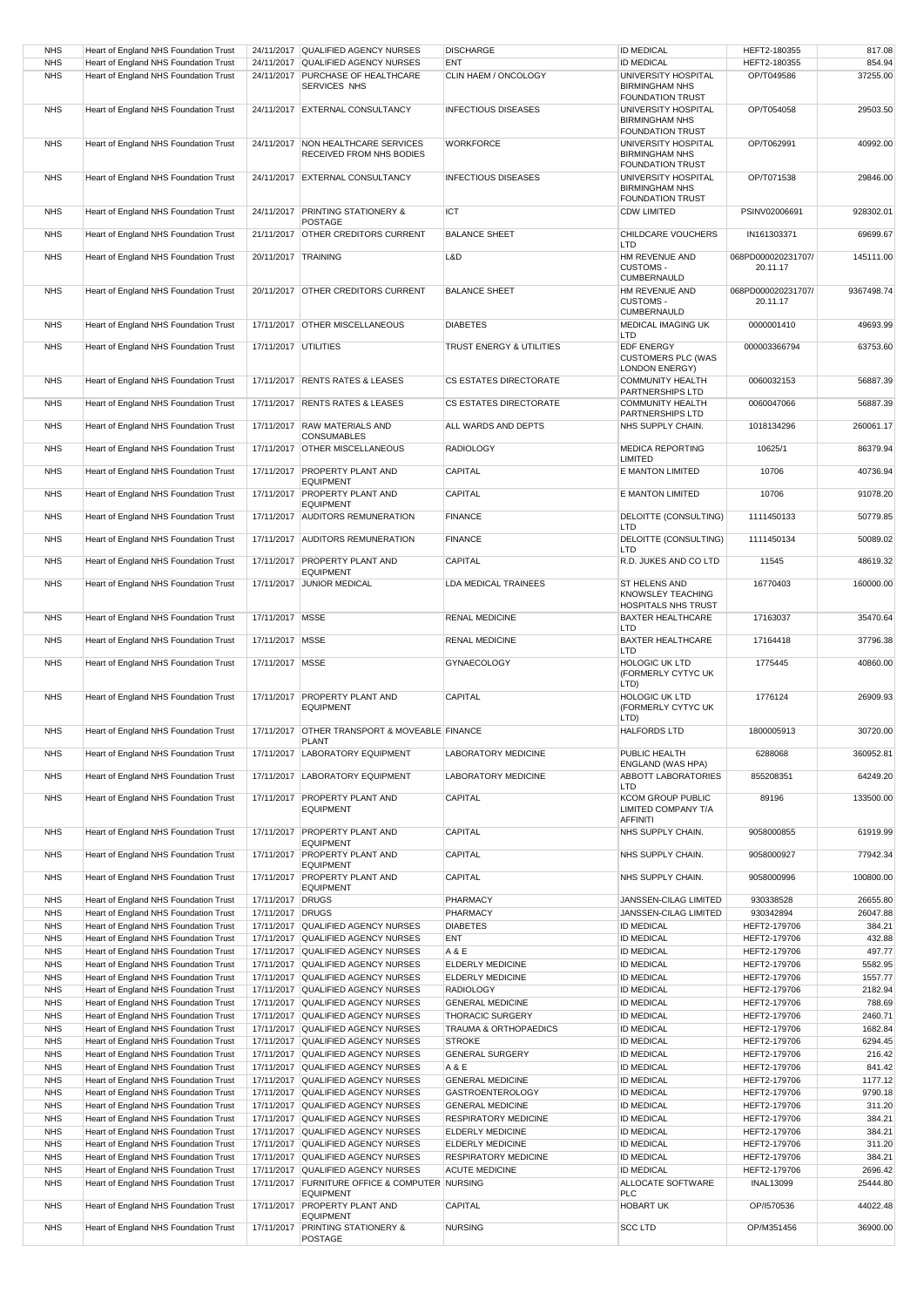| <b>NHS</b>               | Heart of England NHS Foundation Trust                                          |                      | 24/11/2017 QUALIFIED AGENCY NURSES                                       | <b>DISCHARGE</b>                            | <b>ID MEDICAL</b>                                                       | HEFT2-180355                   | 817.08           |
|--------------------------|--------------------------------------------------------------------------------|----------------------|--------------------------------------------------------------------------|---------------------------------------------|-------------------------------------------------------------------------|--------------------------------|------------------|
| <b>NHS</b>               | Heart of England NHS Foundation Trust                                          | 24/11/2017           | QUALIFIED AGENCY NURSES                                                  | ENT                                         | <b>ID MEDICAL</b>                                                       | HEFT2-180355                   | 854.94           |
| <b>NHS</b>               | Heart of England NHS Foundation Trust                                          | 24/11/2017           | PURCHASE OF HEALTHCARE<br>SERVICES NHS                                   | CLIN HAEM / ONCOLOGY                        | UNIVERSITY HOSPITAL<br><b>BIRMINGHAM NHS</b><br><b>FOUNDATION TRUST</b> | OP/T049586                     | 37255.00         |
| <b>NHS</b>               | Heart of England NHS Foundation Trust                                          |                      | 24/11/2017 EXTERNAL CONSULTANCY                                          | <b>INFECTIOUS DISEASES</b>                  | UNIVERSITY HOSPITAL<br><b>BIRMINGHAM NHS</b><br><b>FOUNDATION TRUST</b> | OP/T054058                     | 29503.50         |
| <b>NHS</b>               | Heart of England NHS Foundation Trust                                          |                      | 24/11/2017 NON HEALTHCARE SERVICES<br>RECEIVED FROM NHS BODIES           | <b>WORKFORCE</b>                            | UNIVERSITY HOSPITAL<br><b>BIRMINGHAM NHS</b>                            | OP/T062991                     | 40992.00         |
| <b>NHS</b>               | Heart of England NHS Foundation Trust                                          |                      | 24/11/2017 EXTERNAL CONSULTANCY                                          | <b>INFECTIOUS DISEASES</b>                  | <b>FOUNDATION TRUST</b><br>UNIVERSITY HOSPITAL<br><b>BIRMINGHAM NHS</b> | OP/T071538                     | 29846.00         |
| <b>NHS</b>               | Heart of England NHS Foundation Trust                                          |                      | 24/11/2017 PRINTING STATIONERY &                                         | ICT                                         | <b>FOUNDATION TRUST</b><br><b>CDW LIMITED</b>                           | PSINV02006691                  | 928302.01        |
| <b>NHS</b>               | Heart of England NHS Foundation Trust                                          |                      | POSTAGE<br>21/11/2017 OTHER CREDITORS CURRENT                            | <b>BALANCE SHEET</b>                        | CHILDCARE VOUCHERS                                                      | IN161303371                    | 69699.67         |
|                          |                                                                                |                      |                                                                          |                                             | LTD                                                                     |                                |                  |
| <b>NHS</b>               | Heart of England NHS Foundation Trust                                          | 20/11/2017 TRAINING  |                                                                          | L&D                                         | HM REVENUE AND<br><b>CUSTOMS -</b><br><b>CUMBERNAULD</b>                | 068PD000020231707/<br>20.11.17 | 145111.00        |
| <b>NHS</b>               | Heart of England NHS Foundation Trust                                          |                      | 20/11/2017 OTHER CREDITORS CURRENT                                       | <b>BALANCE SHEET</b>                        | HM REVENUE AND<br><b>CUSTOMS -</b><br><b>CUMBERNAULD</b>                | 068PD000020231707/<br>20.11.17 | 9367498.74       |
| <b>NHS</b>               | Heart of England NHS Foundation Trust                                          |                      | 17/11/2017 OTHER MISCELLANEOUS                                           | <b>DIABETES</b>                             | MEDICAL IMAGING UK<br>LTD                                               | 0000001410                     | 49693.99         |
| <b>NHS</b>               | Heart of England NHS Foundation Trust                                          | 17/11/2017 UTILITIES |                                                                          | TRUST ENERGY & UTILITIES                    | <b>EDF ENERGY</b><br><b>CUSTOMERS PLC (WAS</b><br><b>LONDON ENERGY)</b> | 000003366794                   | 63753.60         |
| <b>NHS</b>               | Heart of England NHS Foundation Trust                                          |                      | 17/11/2017 RENTS RATES & LEASES                                          | CS ESTATES DIRECTORATE                      | <b>COMMUNITY HEALTH</b><br>PARTNERSHIPS LTD                             | 0060032153                     | 56887.39         |
| <b>NHS</b>               | Heart of England NHS Foundation Trust                                          |                      | 17/11/2017 RENTS RATES & LEASES                                          | <b>CS ESTATES DIRECTORATE</b>               | <b>COMMUNITY HEALTH</b><br>PARTNERSHIPS LTD                             | 0060047066                     | 56887.39         |
| <b>NHS</b>               | Heart of England NHS Foundation Trust                                          |                      | 17/11/2017 RAW MATERIALS AND                                             | ALL WARDS AND DEPTS                         | NHS SUPPLY CHAIN.                                                       | 1018134296                     | 260061.17        |
| <b>NHS</b>               | Heart of England NHS Foundation Trust                                          |                      | <b>CONSUMABLES</b><br>17/11/2017 OTHER MISCELLANEOUS                     | <b>RADIOLOGY</b>                            | <b>MEDICA REPORTING</b>                                                 | 10625/1                        | 86379.94         |
| <b>NHS</b>               | Heart of England NHS Foundation Trust                                          |                      | 17/11/2017 PROPERTY PLANT AND                                            | CAPITAL                                     | LIMITED<br>E MANTON LIMITED                                             | 10706                          | 40736.94         |
| <b>NHS</b>               | Heart of England NHS Foundation Trust                                          |                      | <b>EQUIPMENT</b><br>17/11/2017 PROPERTY PLANT AND                        | CAPITAL                                     | E MANTON LIMITED                                                        | 10706                          | 91078.20         |
| <b>NHS</b>               | Heart of England NHS Foundation Trust                                          |                      | <b>EQUIPMENT</b><br>17/11/2017 AUDITORS REMUNERATION                     | <b>FINANCE</b>                              | DELOITTE (CONSULTING)                                                   | 1111450133                     | 50779.85         |
| <b>NHS</b>               | Heart of England NHS Foundation Trust                                          |                      | 17/11/2017 AUDITORS REMUNERATION                                         | <b>FINANCE</b>                              | LTD<br>DELOITTE (CONSULTING)                                            | 1111450134                     | 50089.02         |
| <b>NHS</b>               | Heart of England NHS Foundation Trust                                          |                      | 17/11/2017 PROPERTY PLANT AND                                            | CAPITAL                                     | LTD<br>R.D. JUKES AND CO LTD                                            | 11545                          | 48619.32         |
| <b>NHS</b>               | Heart of England NHS Foundation Trust                                          |                      | <b>EQUIPMENT</b><br>17/11/2017 JUNIOR MEDICAL                            | LDA MEDICAL TRAINEES                        | ST HELENS AND                                                           | 16770403                       | 160000.00        |
|                          |                                                                                |                      |                                                                          |                                             | KNOWSLEY TEACHING<br><b>HOSPITALS NHS TRUST</b>                         |                                |                  |
| <b>NHS</b>               | Heart of England NHS Foundation Trust                                          | 17/11/2017 MSSE      |                                                                          | <b>RENAL MEDICINE</b>                       | <b>BAXTER HEALTHCARE</b><br>LTD                                         | 17163037                       | 35470.64         |
| <b>NHS</b>               | Heart of England NHS Foundation Trust                                          | 17/11/2017 MSSE      |                                                                          | RENAL MEDICINE                              | <b>BAXTER HEALTHCARE</b><br>LTD                                         | 17164418                       | 37796.38         |
| <b>NHS</b>               | Heart of England NHS Foundation Trust                                          | 17/11/2017 MSSE      |                                                                          | <b>GYNAECOLOGY</b>                          | <b>HOLOGIC UK LTD</b><br>(FORMERLY CYTYC UK<br>LTD)                     | 1775445                        | 40860.00         |
| <b>NHS</b>               | Heart of England NHS Foundation Trust                                          |                      | 17/11/2017 PROPERTY PLANT AND<br><b>EQUIPMENT</b>                        | CAPITAL                                     | <b>HOLOGIC UK LTD</b><br>(FORMERLY CYTYC UK<br>LTD)                     | 1776124                        | 26909.93         |
| <b>NHS</b>               | Heart of England NHS Foundation Trust                                          |                      | 17/11/2017 OTHER TRANSPORT & MOVEABLE FINANCE<br><b>PLANT</b>            |                                             | <b>HALFORDS LTD</b>                                                     | 1800005913                     | 30720.00         |
| <b>NHS</b>               | Heart of England NHS Foundation Trust                                          |                      | 17/11/2017 LABORATORY EQUIPMENT                                          | <b>LABORATORY MEDICINE</b>                  | PUBLIC HEALTH                                                           | 6288068                        | 360952.81        |
| <b>NHS</b>               | Heart of England NHS Foundation Trust                                          |                      | 17/11/2017 LABORATORY EQUIPMENT                                          | LABORATORY MEDICINE                         | ENGLAND (WAS HPA)<br>ABBOTT LABORATORIES<br>LTD                         | 855208351                      | 64249.20         |
| <b>NHS</b>               | Heart of England NHS Foundation Trust                                          | 17/11/2017           | <b>PROPERTY PLANT AND</b><br><b>EQUIPMENT</b>                            | CAPITAL                                     | <b>KCOM GROUP PUBLIC</b><br><b>LIMITED COMPANY T/A</b><br>AFFINITI      | 89196                          | 133500.00        |
| <b>NHS</b>               | Heart of England NHS Foundation Trust                                          |                      | 17/11/2017 PROPERTY PLANT AND<br><b>EQUIPMENT</b>                        | CAPITAL                                     | NHS SUPPLY CHAIN.                                                       | 9058000855                     | 61919.99         |
| <b>NHS</b>               | Heart of England NHS Foundation Trust                                          | 17/11/2017           | PROPERTY PLANT AND                                                       | CAPITAL                                     | NHS SUPPLY CHAIN.                                                       | 9058000927                     | 77942.34         |
| <b>NHS</b>               | Heart of England NHS Foundation Trust                                          | 17/11/2017           | <b>EQUIPMENT</b><br><b>PROPERTY PLANT AND</b><br><b>EQUIPMENT</b>        | CAPITAL                                     | NHS SUPPLY CHAIN.                                                       | 9058000996                     | 100800.00        |
| <b>NHS</b>               | Heart of England NHS Foundation Trust                                          | 17/11/2017 DRUGS     |                                                                          | PHARMACY                                    | JANSSEN-CILAG LIMITED                                                   | 930338528                      | 26655.80         |
| <b>NHS</b>               | Heart of England NHS Foundation Trust                                          | 17/11/2017 DRUGS     |                                                                          | PHARMACY                                    | JANSSEN-CILAG LIMITED                                                   | 930342894                      | 26047.88         |
| <b>NHS</b><br><b>NHS</b> | Heart of England NHS Foundation Trust<br>Heart of England NHS Foundation Trust | 17/11/2017           | 17/11/2017 QUALIFIED AGENCY NURSES<br>QUALIFIED AGENCY NURSES            | <b>DIABETES</b><br>ENT                      | <b>ID MEDICAL</b><br><b>ID MEDICAL</b>                                  | HEFT2-179706<br>HEFT2-179706   | 384.21<br>432.88 |
| <b>NHS</b>               | Heart of England NHS Foundation Trust                                          |                      | 17/11/2017 QUALIFIED AGENCY NURSES                                       | A & E                                       | <b>ID MEDICAL</b>                                                       | HEFT2-179706                   | 497.77           |
| <b>NHS</b>               | Heart of England NHS Foundation Trust                                          |                      | 17/11/2017 QUALIFIED AGENCY NURSES                                       | ELDERLY MEDICINE                            | <b>ID MEDICAL</b>                                                       | HEFT2-179706                   | 5582.95          |
| <b>NHS</b>               | Heart of England NHS Foundation Trust                                          |                      | 17/11/2017 QUALIFIED AGENCY NURSES                                       | <b>ELDERLY MEDICINE</b>                     | <b>ID MEDICAL</b>                                                       | HEFT2-179706                   | 1557.77          |
| <b>NHS</b>               | Heart of England NHS Foundation Trust                                          |                      | 17/11/2017 QUALIFIED AGENCY NURSES                                       | <b>RADIOLOGY</b>                            | <b>ID MEDICAL</b>                                                       | HEFT2-179706                   | 2182.94          |
| <b>NHS</b>               | Heart of England NHS Foundation Trust                                          |                      | 17/11/2017 QUALIFIED AGENCY NURSES                                       | <b>GENERAL MEDICINE</b>                     | <b>ID MEDICAL</b>                                                       | HEFT2-179706                   | 788.69           |
| <b>NHS</b>               | Heart of England NHS Foundation Trust                                          |                      | 17/11/2017 QUALIFIED AGENCY NURSES                                       | <b>THORACIC SURGERY</b>                     | <b>ID MEDICAL</b>                                                       | HEFT2-179706                   | 2460.71          |
| <b>NHS</b>               | Heart of England NHS Foundation Trust                                          |                      | 17/11/2017 QUALIFIED AGENCY NURSES                                       | <b>TRAUMA &amp; ORTHOPAEDICS</b>            | <b>ID MEDICAL</b>                                                       | HEFT2-179706                   | 1682.84          |
| <b>NHS</b>               | Heart of England NHS Foundation Trust                                          |                      | 17/11/2017 QUALIFIED AGENCY NURSES                                       | <b>STROKE</b>                               | <b>ID MEDICAL</b>                                                       | HEFT2-179706                   | 6294.45          |
| <b>NHS</b>               | Heart of England NHS Foundation Trust                                          |                      | 17/11/2017 QUALIFIED AGENCY NURSES                                       | <b>GENERAL SURGERY</b>                      | <b>ID MEDICAL</b>                                                       | HEFT2-179706                   | 216.42           |
| <b>NHS</b>               | Heart of England NHS Foundation Trust                                          |                      | 17/11/2017 QUALIFIED AGENCY NURSES                                       | A & E                                       | <b>ID MEDICAL</b>                                                       | HEFT2-179706                   | 841.42           |
| <b>NHS</b>               | Heart of England NHS Foundation Trust                                          |                      | 17/11/2017 QUALIFIED AGENCY NURSES                                       | <b>GENERAL MEDICINE</b>                     | <b>ID MEDICAL</b>                                                       | HEFT2-179706                   | 1177.12          |
| <b>NHS</b>               | Heart of England NHS Foundation Trust                                          |                      | 17/11/2017 QUALIFIED AGENCY NURSES                                       | <b>GASTROENTEROLOGY</b>                     | <b>ID MEDICAL</b>                                                       | HEFT2-179706                   | 9790.18          |
| <b>NHS</b>               | Heart of England NHS Foundation Trust                                          |                      | 17/11/2017 QUALIFIED AGENCY NURSES                                       | <b>GENERAL MEDICINE</b>                     | <b>ID MEDICAL</b>                                                       | HEFT2-179706                   | 311.20           |
| <b>NHS</b>               | Heart of England NHS Foundation Trust                                          |                      | 17/11/2017 QUALIFIED AGENCY NURSES                                       | <b>RESPIRATORY MEDICINE</b>                 | <b>ID MEDICAL</b>                                                       | HEFT2-179706                   | 384.21           |
| <b>NHS</b><br><b>NHS</b> | Heart of England NHS Foundation Trust<br>Heart of England NHS Foundation Trust |                      | 17/11/2017 QUALIFIED AGENCY NURSES<br>17/11/2017 QUALIFIED AGENCY NURSES | <b>ELDERLY MEDICINE</b><br>ELDERLY MEDICINE | <b>ID MEDICAL</b><br><b>ID MEDICAL</b>                                  | HEFT2-179706                   | 384.21<br>311.20 |
| <b>NHS</b>               | Heart of England NHS Foundation Trust                                          |                      | 17/11/2017 QUALIFIED AGENCY NURSES                                       | <b>RESPIRATORY MEDICINE</b>                 | <b>ID MEDICAL</b>                                                       | HEFT2-179706<br>HEFT2-179706   | 384.21           |
| <b>NHS</b>               | Heart of England NHS Foundation Trust                                          |                      | 17/11/2017 QUALIFIED AGENCY NURSES                                       | <b>ACUTE MEDICINE</b>                       | <b>ID MEDICAL</b>                                                       | HEFT2-179706                   | 2696.42          |
| <b>NHS</b>               | Heart of England NHS Foundation Trust                                          |                      | 17/11/2017 FURNITURE OFFICE & COMPUTER NURSING<br><b>EQUIPMENT</b>       |                                             | ALLOCATE SOFTWARE<br><b>PLC</b>                                         | <b>INAL13099</b>               | 25444.80         |
| <b>NHS</b>               | Heart of England NHS Foundation Trust                                          |                      | 17/11/2017 PROPERTY PLANT AND<br><b>EQUIPMENT</b>                        | CAPITAL                                     | <b>HOBART UK</b>                                                        | OP/I570536                     | 44022.48         |
| <b>NHS</b>               | Heart of England NHS Foundation Trust                                          | 17/11/2017           | PRINTING STATIONERY &<br>POSTAGE                                         | <b>NURSING</b>                              | <b>SCC LTD</b>                                                          | OP/M351456                     | 36900.00         |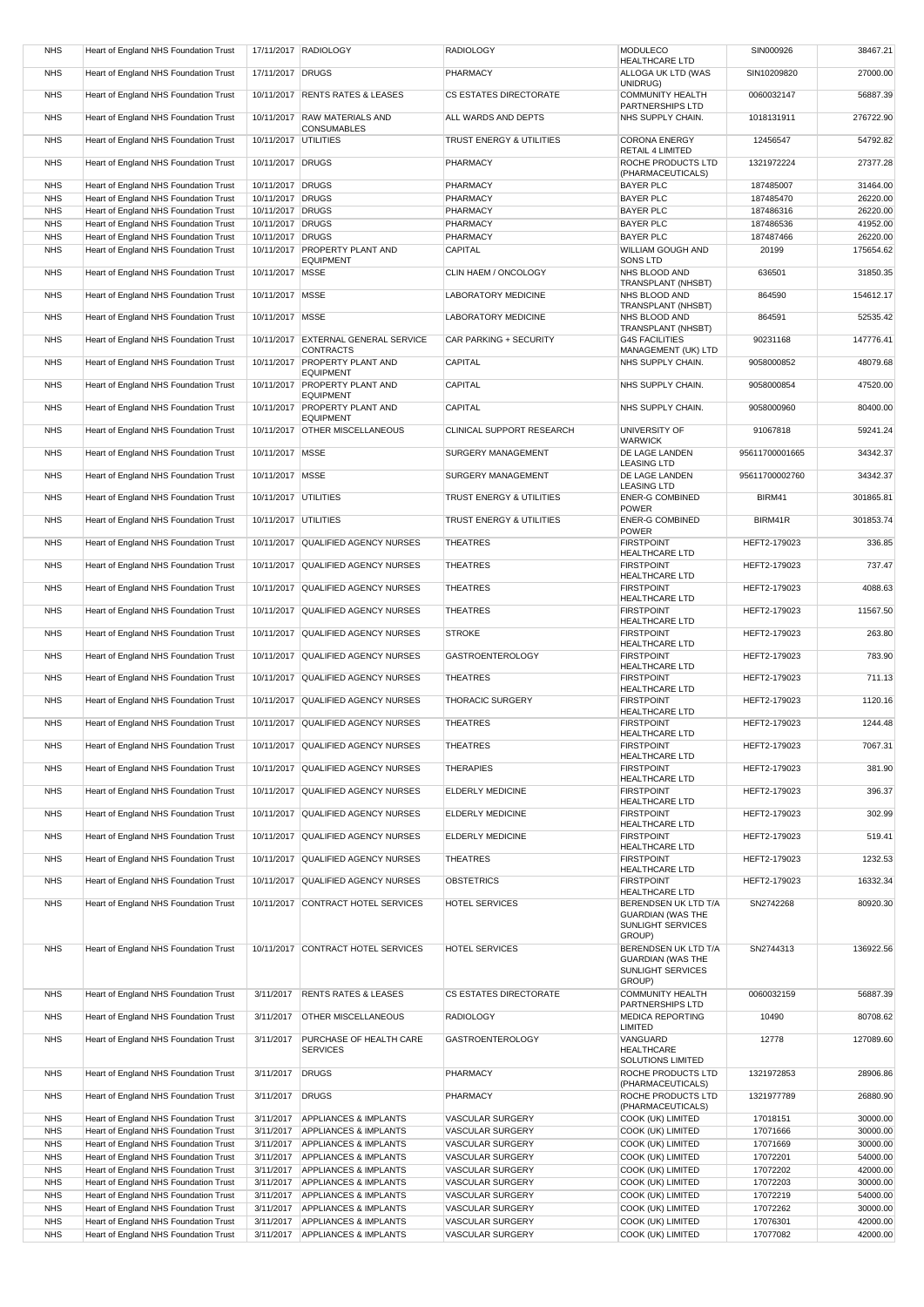| <b>NHS</b>               | Heart of England NHS Foundation Trust                                          |                                      | 17/11/2017 RADIOLOGY                               | <b>RADIOLOGY</b>          | MODULECO<br><b>HEALTHCARE LTD</b>                                     | SIN000926              | 38467.21             |
|--------------------------|--------------------------------------------------------------------------------|--------------------------------------|----------------------------------------------------|---------------------------|-----------------------------------------------------------------------|------------------------|----------------------|
| <b>NHS</b>               | Heart of England NHS Foundation Trust                                          | 17/11/2017 DRUGS                     |                                                    | PHARMACY                  | ALLOGA UK LTD (WAS                                                    | SIN10209820            | 27000.00             |
| <b>NHS</b>               | Heart of England NHS Foundation Trust                                          |                                      | 10/11/2017 RENTS RATES & LEASES                    | CS ESTATES DIRECTORATE    | UNIDRUG)<br><b>COMMUNITY HEALTH</b>                                   | 0060032147             | 56887.39             |
|                          |                                                                                |                                      |                                                    |                           | PARTNERSHIPS LTD                                                      |                        |                      |
| <b>NHS</b>               | Heart of England NHS Foundation Trust                                          |                                      | 10/11/2017 RAW MATERIALS AND<br><b>CONSUMABLES</b> | ALL WARDS AND DEPTS       | NHS SUPPLY CHAIN.                                                     | 1018131911             | 276722.90            |
| <b>NHS</b>               | Heart of England NHS Foundation Trust                                          | 10/11/2017 UTILITIES                 |                                                    | TRUST ENERGY & UTILITIES  | <b>CORONA ENERGY</b>                                                  | 12456547               | 54792.82             |
| <b>NHS</b>               | Heart of England NHS Foundation Trust                                          | 10/11/2017 DRUGS                     |                                                    | PHARMACY                  | RETAIL 4 LIMITED<br>ROCHE PRODUCTS LTD                                | 1321972224             | 27377.28             |
|                          |                                                                                |                                      |                                                    |                           | (PHARMACEUTICALS)                                                     |                        |                      |
| <b>NHS</b>               | Heart of England NHS Foundation Trust                                          | 10/11/2017 DRUGS                     |                                                    | PHARMACY                  | <b>BAYER PLC</b>                                                      | 187485007              | 31464.00             |
| <b>NHS</b><br><b>NHS</b> | Heart of England NHS Foundation Trust<br>Heart of England NHS Foundation Trust | 10/11/2017 DRUGS<br>10/11/2017 DRUGS |                                                    | PHARMACY<br>PHARMACY      | <b>BAYER PLC</b><br><b>BAYER PLC</b>                                  | 187485470<br>187486316 | 26220.00<br>26220.00 |
| <b>NHS</b>               | Heart of England NHS Foundation Trust                                          | 10/11/2017 DRUGS                     |                                                    | PHARMACY                  | <b>BAYER PLC</b>                                                      | 187486536              | 41952.00             |
| <b>NHS</b>               | Heart of England NHS Foundation Trust                                          | 10/11/2017 DRUGS                     |                                                    | PHARMACY                  | <b>BAYER PLC</b>                                                      | 187487466              | 26220.00             |
| <b>NHS</b>               | Heart of England NHS Foundation Trust                                          |                                      | 10/11/2017 PROPERTY PLANT AND                      | CAPITAL                   | WILLIAM GOUGH AND                                                     | 20199                  | 175654.62            |
| <b>NHS</b>               | Heart of England NHS Foundation Trust                                          | 10/11/2017 MSSE                      | <b>EQUIPMENT</b>                                   | CLIN HAEM / ONCOLOGY      | SONS LTD<br>NHS BLOOD AND                                             | 636501                 | 31850.35             |
|                          |                                                                                |                                      |                                                    |                           | TRANSPLANT (NHSBT)                                                    |                        |                      |
| <b>NHS</b>               | Heart of England NHS Foundation Trust                                          | 10/11/2017 MSSE                      |                                                    | LABORATORY MEDICINE       | NHS BLOOD AND<br>TRANSPLANT (NHSBT)                                   | 864590                 | 154612.17            |
| <b>NHS</b>               | Heart of England NHS Foundation Trust                                          | 10/11/2017 MSSE                      |                                                    | LABORATORY MEDICINE       | NHS BLOOD AND                                                         | 864591                 | 52535.42             |
| <b>NHS</b>               | Heart of England NHS Foundation Trust                                          |                                      | 10/11/2017 EXTERNAL GENERAL SERVICE                | CAR PARKING + SECURITY    | TRANSPLANT (NHSBT)<br><b>G4S FACILITIES</b>                           | 90231168               | 147776.41            |
|                          |                                                                                |                                      | <b>CONTRACTS</b>                                   |                           | MANAGEMENT (UK) LTD                                                   |                        |                      |
| <b>NHS</b>               | Heart of England NHS Foundation Trust                                          |                                      | 10/11/2017 PROPERTY PLANT AND<br><b>EQUIPMENT</b>  | CAPITAL                   | NHS SUPPLY CHAIN.                                                     | 9058000852             | 48079.68             |
| <b>NHS</b>               | Heart of England NHS Foundation Trust                                          |                                      | 10/11/2017 PROPERTY PLANT AND<br><b>EQUIPMENT</b>  | <b>CAPITAL</b>            | NHS SUPPLY CHAIN.                                                     | 9058000854             | 47520.00             |
| <b>NHS</b>               | Heart of England NHS Foundation Trust                                          |                                      | 10/11/2017 PROPERTY PLANT AND                      | <b>CAPITAL</b>            | NHS SUPPLY CHAIN.                                                     | 9058000960             | 80400.00             |
| <b>NHS</b>               | Heart of England NHS Foundation Trust                                          |                                      | <b>EQUIPMENT</b><br>10/11/2017 OTHER MISCELLANEOUS | CLINICAL SUPPORT RESEARCH | UNIVERSITY OF                                                         | 91067818               | 59241.24             |
|                          |                                                                                |                                      |                                                    |                           | <b>WARWICK</b>                                                        |                        |                      |
| <b>NHS</b>               | Heart of England NHS Foundation Trust                                          | 10/11/2017 MSSE                      |                                                    | SURGERY MANAGEMENT        | DE LAGE LANDEN<br><b>LEASING LTD</b>                                  | 95611700001665         | 34342.37             |
| <b>NHS</b>               | Heart of England NHS Foundation Trust                                          | 10/11/2017 MSSE                      |                                                    | SURGERY MANAGEMENT        | DE LAGE LANDEN                                                        | 95611700002760         | 34342.37             |
| <b>NHS</b>               | Heart of England NHS Foundation Trust                                          | 10/11/2017 UTILITIES                 |                                                    | TRUST ENERGY & UTILITIES  | <b>LEASING LTD</b><br><b>ENER-G COMBINED</b>                          | BIRM41                 | 301865.81            |
| <b>NHS</b>               | Heart of England NHS Foundation Trust                                          | 10/11/2017 UTILITIES                 |                                                    | TRUST ENERGY & UTILITIES  | <b>POWER</b><br><b>ENER-G COMBINED</b>                                | BIRM41R                | 301853.74            |
|                          |                                                                                |                                      |                                                    |                           | <b>POWER</b>                                                          |                        |                      |
| <b>NHS</b>               | Heart of England NHS Foundation Trust                                          |                                      | 10/11/2017 QUALIFIED AGENCY NURSES                 | <b>THEATRES</b>           | <b>FIRSTPOINT</b><br><b>HEALTHCARE LTD</b>                            | HEFT2-179023           | 336.85               |
| <b>NHS</b>               | Heart of England NHS Foundation Trust                                          |                                      | 10/11/2017 QUALIFIED AGENCY NURSES                 | <b>THEATRES</b>           | <b>FIRSTPOINT</b>                                                     | HEFT2-179023           | 737.47               |
| <b>NHS</b>               | Heart of England NHS Foundation Trust                                          |                                      | 10/11/2017 QUALIFIED AGENCY NURSES                 | <b>THEATRES</b>           | <b>HEALTHCARE LTD</b><br><b>FIRSTPOINT</b>                            | HEFT2-179023           | 4088.63              |
| <b>NHS</b>               |                                                                                |                                      |                                                    | <b>THEATRES</b>           | <b>HEALTHCARE LTD</b><br><b>FIRSTPOINT</b>                            |                        |                      |
|                          | Heart of England NHS Foundation Trust                                          |                                      | 10/11/2017 QUALIFIED AGENCY NURSES                 |                           | <b>HEALTHCARE LTD</b>                                                 | HEFT2-179023           | 11567.50             |
| <b>NHS</b>               | Heart of England NHS Foundation Trust                                          |                                      | 10/11/2017 QUALIFIED AGENCY NURSES                 | <b>STROKE</b>             | <b>FIRSTPOINT</b><br><b>HEALTHCARE LTD</b>                            | HEFT2-179023           | 263.80               |
| <b>NHS</b>               | Heart of England NHS Foundation Trust                                          |                                      | 10/11/2017 QUALIFIED AGENCY NURSES                 | <b>GASTROENTEROLOGY</b>   | <b>FIRSTPOINT</b>                                                     | HEFT2-179023           | 783.90               |
| <b>NHS</b>               | Heart of England NHS Foundation Trust                                          |                                      | 10/11/2017 QUALIFIED AGENCY NURSES                 | <b>THEATRES</b>           | <b>HEALTHCARE LTD</b><br><b>FIRSTPOINT</b>                            | HEFT2-179023           | 711.13               |
| <b>NHS</b>               | Heart of England NHS Foundation Trust                                          |                                      | 10/11/2017 QUALIFIED AGENCY NURSES                 | THORACIC SURGERY          | HEALTHCARE LTD<br><b>FIRSTPOINT</b>                                   | HEFT2-179023           | 1120.16              |
|                          |                                                                                |                                      |                                                    |                           | <b>HEALTHCARE LTD</b>                                                 |                        |                      |
| <b>NHS</b>               | Heart of England NHS Foundation Trust                                          |                                      | 10/11/2017 QUALIFIED AGENCY NURSES                 | <b>THEATRES</b>           | <b>FIRSTPOINT</b><br><b>HEALTHCARE LTD</b>                            | HEFT2-179023           | 1244.48              |
| <b>NHS</b>               | Heart of England NHS Foundation Trust                                          |                                      | 10/11/2017 QUALIFIED AGENCY NURSES                 | <b>THEATRES</b>           | <b>FIRSTPOINT</b><br><b>HEALTHCARE LTD</b>                            | HEFT2-179023           | 7067.31              |
| <b>NHS</b>               | Heart of England NHS Foundation Trust                                          |                                      | 10/11/2017 QUALIFIED AGENCY NURSES                 | <b>THERAPIES</b>          | <b>FIRSTPOINT</b>                                                     | HEFT2-179023           | 381.90               |
| <b>NHS</b>               | Heart of England NHS Foundation Trust                                          |                                      | 10/11/2017 QUALIFIED AGENCY NURSES                 | ELDERLY MEDICINE          | HEALTHCARE LTD<br><b>FIRSTPOINT</b>                                   | HEFT2-179023           | 396.37               |
|                          |                                                                                |                                      |                                                    |                           | <b>HEALTHCARE LTD</b>                                                 |                        |                      |
| <b>NHS</b>               | Heart of England NHS Foundation Trust                                          |                                      | 10/11/2017 QUALIFIED AGENCY NURSES                 | <b>ELDERLY MEDICINE</b>   | <b>FIRSTPOINT</b><br><b>HEALTHCARE LTD</b>                            | HEFT2-179023           | 302.99               |
| <b>NHS</b>               | Heart of England NHS Foundation Trust                                          |                                      | 10/11/2017 QUALIFIED AGENCY NURSES                 | <b>ELDERLY MEDICINE</b>   | <b>FIRSTPOINT</b><br>HEALTHCARE LTD                                   | HEFT2-179023           | 519.41               |
| <b>NHS</b>               | Heart of England NHS Foundation Trust                                          |                                      | 10/11/2017 QUALIFIED AGENCY NURSES                 | <b>THEATRES</b>           | <b>FIRSTPOINT</b>                                                     | HEFT2-179023           | 1232.53              |
| <b>NHS</b>               | Heart of England NHS Foundation Trust                                          |                                      | 10/11/2017 QUALIFIED AGENCY NURSES                 | <b>OBSTETRICS</b>         | <b>HEALTHCARE LTD</b><br><b>FIRSTPOINT</b>                            | HEFT2-179023           | 16332.34             |
|                          |                                                                                |                                      |                                                    |                           | <b>HEALTHCARE LTD</b>                                                 |                        |                      |
| <b>NHS</b>               | Heart of England NHS Foundation Trust                                          |                                      | 10/11/2017 CONTRACT HOTEL SERVICES                 | <b>HOTEL SERVICES</b>     | BERENDSEN UK LTD T/A<br><b>GUARDIAN (WAS THE</b><br>SUNLIGHT SERVICES | SN2742268              | 80920.30             |
|                          |                                                                                |                                      |                                                    |                           | GROUP)                                                                |                        |                      |
| <b>NHS</b>               | Heart of England NHS Foundation Trust                                          |                                      | 10/11/2017 CONTRACT HOTEL SERVICES                 | <b>HOTEL SERVICES</b>     | BERENDSEN UK LTD T/A<br><b>GUARDIAN (WAS THE</b>                      | SN2744313              | 136922.56            |
|                          |                                                                                |                                      |                                                    |                           | SUNLIGHT SERVICES<br>GROUP)                                           |                        |                      |
| <b>NHS</b>               | Heart of England NHS Foundation Trust                                          | 3/11/2017                            | <b>RENTS RATES &amp; LEASES</b>                    | CS ESTATES DIRECTORATE    | COMMUNITY HEALTH                                                      | 0060032159             | 56887.39             |
| <b>NHS</b>               | Heart of England NHS Foundation Trust                                          | 3/11/2017                            | <b>OTHER MISCELLANEOUS</b>                         | <b>RADIOLOGY</b>          | PARTNERSHIPS LTD<br><b>MEDICA REPORTING</b>                           | 10490                  | 80708.62             |
|                          |                                                                                |                                      |                                                    |                           | LIMITED                                                               |                        |                      |
| <b>NHS</b>               | Heart of England NHS Foundation Trust                                          | 3/11/2017                            | PURCHASE OF HEALTH CARE<br><b>SERVICES</b>         | <b>GASTROENTEROLOGY</b>   | VANGUARD<br><b>HEALTHCARE</b>                                         | 12778                  | 127089.60            |
| <b>NHS</b>               | Heart of England NHS Foundation Trust                                          | 3/11/2017                            | <b>DRUGS</b>                                       | PHARMACY                  | SOLUTIONS LIMITED<br>ROCHE PRODUCTS LTD                               | 1321972853             | 28906.86             |
|                          |                                                                                |                                      |                                                    |                           | (PHARMACEUTICALS)                                                     |                        |                      |
| <b>NHS</b>               | Heart of England NHS Foundation Trust                                          | 3/11/2017                            | <b>DRUGS</b>                                       | PHARMACY                  | ROCHE PRODUCTS LTD<br>(PHARMACEUTICALS)                               | 1321977789             | 26880.90             |
| <b>NHS</b>               | Heart of England NHS Foundation Trust                                          | 3/11/2017                            | <b>APPLIANCES &amp; IMPLANTS</b>                   | <b>VASCULAR SURGERY</b>   | COOK (UK) LIMITED                                                     | 17018151               | 30000.00             |
| <b>NHS</b>               | Heart of England NHS Foundation Trust                                          | 3/11/2017                            | <b>APPLIANCES &amp; IMPLANTS</b>                   | VASCULAR SURGERY          | COOK (UK) LIMITED                                                     | 17071666               | 30000.00             |
| <b>NHS</b>               | Heart of England NHS Foundation Trust                                          | 3/11/2017                            | <b>APPLIANCES &amp; IMPLANTS</b>                   | VASCULAR SURGERY          | COOK (UK) LIMITED                                                     | 17071669               | 30000.00             |
| <b>NHS</b>               | Heart of England NHS Foundation Trust                                          | 3/11/2017                            | APPLIANCES & IMPLANTS                              | VASCULAR SURGERY          | COOK (UK) LIMITED                                                     | 17072201               | 54000.00             |
| <b>NHS</b>               | Heart of England NHS Foundation Trust                                          | 3/11/2017                            | APPLIANCES & IMPLANTS                              | <b>VASCULAR SURGERY</b>   | COOK (UK) LIMITED                                                     | 17072202               | 42000.00             |
| <b>NHS</b>               | Heart of England NHS Foundation Trust                                          | 3/11/2017                            | <b>APPLIANCES &amp; IMPLANTS</b>                   | VASCULAR SURGERY          | COOK (UK) LIMITED                                                     | 17072203               | 30000.00             |
| <b>NHS</b>               | Heart of England NHS Foundation Trust                                          | 3/11/2017                            | APPLIANCES & IMPLANTS                              | VASCULAR SURGERY          | COOK (UK) LIMITED                                                     | 17072219               | 54000.00             |
| <b>NHS</b>               | Heart of England NHS Foundation Trust                                          | 3/11/2017                            | APPLIANCES & IMPLANTS                              | VASCULAR SURGERY          | COOK (UK) LIMITED                                                     | 17072262               | 30000.00             |
| <b>NHS</b>               | Heart of England NHS Foundation Trust                                          | 3/11/2017                            | APPLIANCES & IMPLANTS                              | <b>VASCULAR SURGERY</b>   | COOK (UK) LIMITED                                                     | 17076301               | 42000.00             |
| <b>NHS</b>               | Heart of England NHS Foundation Trust                                          | 3/11/2017                            | APPLIANCES & IMPLANTS                              | VASCULAR SURGERY          | COOK (UK) LIMITED                                                     | 17077082               | 42000.00             |
|                          |                                                                                |                                      |                                                    |                           |                                                                       |                        |                      |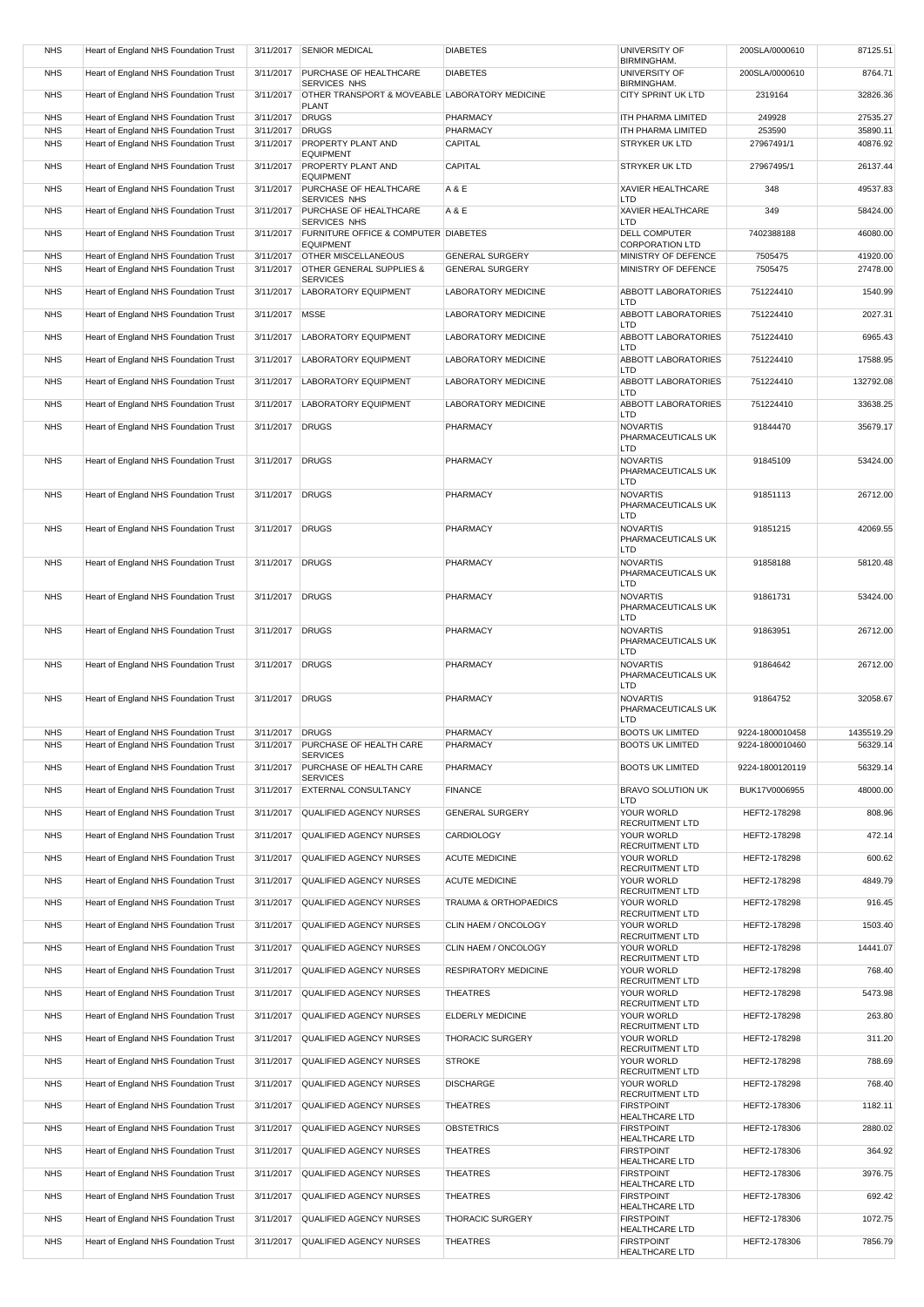| <b>NHS</b> | Heart of England NHS Foundation Trust | 3/11/2017       | <b>SENIOR MEDICAL</b>                                    | <b>DIABETES</b>             | UNIVERSITY OF<br>BIRMINGHAM.               | 200SLA/0000610  | 87125.51   |
|------------|---------------------------------------|-----------------|----------------------------------------------------------|-----------------------------|--------------------------------------------|-----------------|------------|
| <b>NHS</b> | Heart of England NHS Foundation Trust | 3/11/2017       | PURCHASE OF HEALTHCARE<br>SERVICES NHS                   | <b>DIABETES</b>             | <b>UNIVERSITY OF</b><br>BIRMINGHAM.        | 200SLA/0000610  | 8764.71    |
| <b>NHS</b> | Heart of England NHS Foundation Trust | 3/11/2017       | OTHER TRANSPORT & MOVEABLE LABORATORY MEDICINE           |                             | CITY SPRINT UK LTD                         | 2319164         | 32826.36   |
|            |                                       |                 | <b>PLANT</b>                                             |                             |                                            |                 |            |
| <b>NHS</b> | Heart of England NHS Foundation Trust | 3/11/2017       | <b>DRUGS</b>                                             | PHARMACY                    | ITH PHARMA LIMITED                         | 249928          | 27535.27   |
| <b>NHS</b> | Heart of England NHS Foundation Trust | 3/11/2017       | <b>DRUGS</b>                                             | PHARMACY                    | ITH PHARMA LIMITED                         | 253590          | 35890.11   |
| <b>NHS</b> | Heart of England NHS Foundation Trust | 3/11/2017       | <b>PROPERTY PLANT AND</b><br><b>EQUIPMENT</b>            | <b>CAPITAL</b>              | STRYKER UK LTD                             | 27967491/1      | 40876.92   |
| <b>NHS</b> | Heart of England NHS Foundation Trust | 3/11/2017       | PROPERTY PLANT AND<br><b>EQUIPMENT</b>                   | CAPITAL                     | STRYKER UK LTD                             | 27967495/1      | 26137.44   |
| <b>NHS</b> | Heart of England NHS Foundation Trust | 3/11/2017       | PURCHASE OF HEALTHCARE<br>SERVICES NHS                   | A & E                       | XAVIER HEALTHCARE<br>LTD                   | 348             | 49537.83   |
| <b>NHS</b> | Heart of England NHS Foundation Trust | 3/11/2017       | PURCHASE OF HEALTHCARE<br>SERVICES NHS                   | A & E                       | <b>XAVIER HEALTHCARE</b><br>LTD            | 349             | 58424.00   |
| <b>NHS</b> | Heart of England NHS Foundation Trust | 3/11/2017       | FURNITURE OFFICE & COMPUTER DIABETES<br><b>EQUIPMENT</b> |                             | DELL COMPUTER<br><b>CORPORATION LTD</b>    | 7402388188      | 46080.00   |
| <b>NHS</b> | Heart of England NHS Foundation Trust | 3/11/2017       | <b>OTHER MISCELLANEOUS</b>                               | <b>GENERAL SURGERY</b>      | MINISTRY OF DEFENCE                        | 7505475         | 41920.00   |
| <b>NHS</b> | Heart of England NHS Foundation Trust | 3/11/2017       | OTHER GENERAL SUPPLIES &                                 | <b>GENERAL SURGERY</b>      | MINISTRY OF DEFENCE                        | 7505475         | 27478.00   |
|            |                                       |                 | <b>SERVICES</b>                                          |                             |                                            |                 |            |
| <b>NHS</b> | Heart of England NHS Foundation Trust | 3/11/2017       | <b>LABORATORY EQUIPMENT</b>                              | LABORATORY MEDICINE         | ABBOTT LABORATORIES<br>LTD                 | 751224410       | 1540.99    |
| <b>NHS</b> | Heart of England NHS Foundation Trust | 3/11/2017       | <b>MSSE</b>                                              | LABORATORY MEDICINE         | ABBOTT LABORATORIES<br>LTD                 | 751224410       | 2027.31    |
| <b>NHS</b> | Heart of England NHS Foundation Trust | 3/11/2017       | <b>LABORATORY EQUIPMENT</b>                              | LABORATORY MEDICINE         | ABBOTT LABORATORIES<br>LTD                 | 751224410       | 6965.43    |
| <b>NHS</b> | Heart of England NHS Foundation Trust | 3/11/2017       | <b>LABORATORY EQUIPMENT</b>                              | LABORATORY MEDICINE         | <b>ABBOTT LABORATORIES</b><br>LTD          | 751224410       | 17588.95   |
| <b>NHS</b> | Heart of England NHS Foundation Trust | 3/11/2017       | <b>LABORATORY EQUIPMENT</b>                              | <b>LABORATORY MEDICINE</b>  | ABBOTT LABORATORIES                        | 751224410       | 132792.08  |
| <b>NHS</b> | Heart of England NHS Foundation Trust | 3/11/2017       | <b>LABORATORY EQUIPMENT</b>                              | <b>LABORATORY MEDICINE</b>  | LTD<br>ABBOTT LABORATORIES                 | 751224410       | 33638.25   |
| <b>NHS</b> | Heart of England NHS Foundation Trust | 3/11/2017       | <b>DRUGS</b>                                             | PHARMACY                    | LTD<br><b>NOVARTIS</b>                     | 91844470        | 35679.17   |
|            |                                       |                 |                                                          |                             | PHARMACEUTICALS UK<br>LTD                  |                 |            |
| <b>NHS</b> | Heart of England NHS Foundation Trust | 3/11/2017       | <b>DRUGS</b>                                             | PHARMACY                    | <b>NOVARTIS</b><br>PHARMACEUTICALS UK      | 91845109        | 53424.00   |
|            |                                       |                 |                                                          |                             | LTD                                        |                 |            |
| <b>NHS</b> | Heart of England NHS Foundation Trust | 3/11/2017       | <b>DRUGS</b>                                             | PHARMACY                    | <b>NOVARTIS</b><br>PHARMACEUTICALS UK      | 91851113        | 26712.00   |
| <b>NHS</b> | Heart of England NHS Foundation Trust | 3/11/2017       | <b>DRUGS</b>                                             | PHARMACY                    | LTD<br><b>NOVARTIS</b>                     | 91851215        | 42069.55   |
|            |                                       |                 |                                                          |                             | PHARMACEUTICALS UK<br>LTD                  |                 |            |
| <b>NHS</b> | Heart of England NHS Foundation Trust | 3/11/2017       | <b>DRUGS</b>                                             | PHARMACY                    | <b>NOVARTIS</b>                            | 91858188        | 58120.48   |
|            |                                       |                 |                                                          |                             | PHARMACEUTICALS UK<br>LTD                  |                 |            |
| <b>NHS</b> | Heart of England NHS Foundation Trust | 3/11/2017       | <b>DRUGS</b>                                             | PHARMACY                    | <b>NOVARTIS</b><br>PHARMACEUTICALS UK      | 91861731        | 53424.00   |
| <b>NHS</b> | Heart of England NHS Foundation Trust | 3/11/2017       | <b>DRUGS</b>                                             | PHARMACY                    | LTD<br><b>NOVARTIS</b>                     | 91863951        | 26712.00   |
|            |                                       |                 |                                                          |                             | PHARMACEUTICALS UK                         |                 |            |
|            |                                       |                 |                                                          |                             | LTD                                        |                 |            |
| <b>NHS</b> | Heart of England NHS Foundation Trust | 3/11/2017       | <b>DRUGS</b>                                             | PHARMACY                    | <b>NOVARTIS</b><br>PHARMACEUTICALS UK      | 91864642        | 26712.00   |
|            |                                       |                 |                                                          |                             | LTD                                        |                 |            |
| <b>NHS</b> | Heart of England NHS Foundation Trust | 3/11/2017       | <b>DRUGS</b>                                             | PHARMACY                    | <b>NOVARTIS</b><br>PHARMACEUTICALS UK      | 91864752        | 32058.67   |
|            |                                       |                 |                                                          |                             | LTD                                        |                 |            |
| <b>NHS</b> | Heart of England NHS Foundation Trust | 3/11/2017 DRUGS |                                                          | PHARMACY                    | <b>BOOTS UK LIMITED</b>                    | 9224-1800010458 | 1435519.29 |
| <b>NHS</b> | Heart of England NHS Foundation Trust | 3/11/2017       | PURCHASE OF HEALTH CARE                                  | PHARMACY                    | <b>BOOTS UK LIMITED</b>                    | 9224-1800010460 | 56329.14   |
| <b>NHS</b> | Heart of England NHS Foundation Trust | 3/11/2017       | <b>SERVICES</b><br>PURCHASE OF HEALTH CARE               | PHARMACY                    | <b>BOOTS UK LIMITED</b>                    | 9224-1800120119 | 56329.14   |
| <b>NHS</b> | Heart of England NHS Foundation Trust | 3/11/2017       | <b>SERVICES</b><br>EXTERNAL CONSULTANCY                  | <b>FINANCE</b>              | BRAVO SOLUTION UK                          | BUK17V0006955   | 48000.00   |
|            |                                       |                 |                                                          |                             | LTD                                        |                 |            |
| <b>NHS</b> | Heart of England NHS Foundation Trust | 3/11/2017       | QUALIFIED AGENCY NURSES                                  | <b>GENERAL SURGERY</b>      | YOUR WORLD<br>RECRUITMENT LTD              | HEFT2-178298    | 808.96     |
| <b>NHS</b> | Heart of England NHS Foundation Trust | 3/11/2017       | <b>QUALIFIED AGENCY NURSES</b>                           | <b>CARDIOLOGY</b>           | YOUR WORLD<br>RECRUITMENT LTD              | HEFT2-178298    | 472.14     |
| <b>NHS</b> | Heart of England NHS Foundation Trust | 3/11/2017       | QUALIFIED AGENCY NURSES                                  | <b>ACUTE MEDICINE</b>       | YOUR WORLD<br>RECRUITMENT LTD              | HEFT2-178298    | 600.62     |
| <b>NHS</b> | Heart of England NHS Foundation Trust | 3/11/2017       | <b>QUALIFIED AGENCY NURSES</b>                           | <b>ACUTE MEDICINE</b>       | YOUR WORLD<br>RECRUITMENT LTD              | HEFT2-178298    | 4849.79    |
| <b>NHS</b> | Heart of England NHS Foundation Trust | 3/11/2017       | <b>QUALIFIED AGENCY NURSES</b>                           | TRAUMA & ORTHOPAEDICS       | YOUR WORLD                                 | HEFT2-178298    | 916.45     |
| <b>NHS</b> | Heart of England NHS Foundation Trust | 3/11/2017       | QUALIFIED AGENCY NURSES                                  | CLIN HAEM / ONCOLOGY        | RECRUITMENT LTD<br>YOUR WORLD              | HEFT2-178298    | 1503.40    |
| <b>NHS</b> | Heart of England NHS Foundation Trust | 3/11/2017       | QUALIFIED AGENCY NURSES                                  | CLIN HAEM / ONCOLOGY        | RECRUITMENT LTD<br>YOUR WORLD              | HEFT2-178298    | 14441.07   |
| <b>NHS</b> | Heart of England NHS Foundation Trust | 3/11/2017       | <b>QUALIFIED AGENCY NURSES</b>                           | <b>RESPIRATORY MEDICINE</b> | RECRUITMENT LTD<br>YOUR WORLD              | HEFT2-178298    | 768.40     |
| <b>NHS</b> | Heart of England NHS Foundation Trust | 3/11/2017       | QUALIFIED AGENCY NURSES                                  | <b>THEATRES</b>             | RECRUITMENT LTD<br>YOUR WORLD              | HEFT2-178298    | 5473.98    |
|            |                                       |                 |                                                          |                             | RECRUITMENT LTD                            |                 |            |
| <b>NHS</b> | Heart of England NHS Foundation Trust | 3/11/2017       | QUALIFIED AGENCY NURSES                                  | ELDERLY MEDICINE            | YOUR WORLD<br>RECRUITMENT LTD              | HEFT2-178298    | 263.80     |
| <b>NHS</b> | Heart of England NHS Foundation Trust | 3/11/2017       | <b>QUALIFIED AGENCY NURSES</b>                           | <b>THORACIC SURGERY</b>     | YOUR WORLD<br>RECRUITMENT LTD              | HEFT2-178298    | 311.20     |
| <b>NHS</b> | Heart of England NHS Foundation Trust | 3/11/2017       | <b>QUALIFIED AGENCY NURSES</b>                           | <b>STROKE</b>               | YOUR WORLD<br>RECRUITMENT LTD              | HEFT2-178298    | 788.69     |
| <b>NHS</b> | Heart of England NHS Foundation Trust | 3/11/2017       | QUALIFIED AGENCY NURSES                                  | <b>DISCHARGE</b>            | YOUR WORLD<br>RECRUITMENT LTD              | HEFT2-178298    | 768.40     |
| <b>NHS</b> | Heart of England NHS Foundation Trust | 3/11/2017       | <b>QUALIFIED AGENCY NURSES</b>                           | <b>THEATRES</b>             | <b>FIRSTPOINT</b><br><b>HEALTHCARE LTD</b> | HEFT2-178306    | 1182.11    |
| <b>NHS</b> | Heart of England NHS Foundation Trust | 3/11/2017       | QUALIFIED AGENCY NURSES                                  | <b>OBSTETRICS</b>           | <b>FIRSTPOINT</b><br><b>HEALTHCARE LTD</b> | HEFT2-178306    | 2880.02    |
| <b>NHS</b> | Heart of England NHS Foundation Trust | 3/11/2017       | QUALIFIED AGENCY NURSES                                  | <b>THEATRES</b>             | <b>FIRSTPOINT</b><br><b>HEALTHCARE LTD</b> | HEFT2-178306    | 364.92     |
| <b>NHS</b> | Heart of England NHS Foundation Trust | 3/11/2017       | <b>QUALIFIED AGENCY NURSES</b>                           | <b>THEATRES</b>             | <b>FIRSTPOINT</b>                          | HEFT2-178306    | 3976.75    |
| <b>NHS</b> | Heart of England NHS Foundation Trust | 3/11/2017       | <b>QUALIFIED AGENCY NURSES</b>                           | <b>THEATRES</b>             | <b>HEALTHCARE LTD</b><br><b>FIRSTPOINT</b> | HEFT2-178306    | 692.42     |
| <b>NHS</b> | Heart of England NHS Foundation Trust | 3/11/2017       | QUALIFIED AGENCY NURSES                                  | THORACIC SURGERY            | HEALTHCARE LTD<br><b>FIRSTPOINT</b>        | HEFT2-178306    | 1072.75    |
|            |                                       |                 | <b>QUALIFIED AGENCY NURSES</b>                           |                             | HEALTHCARE LTD                             |                 |            |
| <b>NHS</b> | Heart of England NHS Foundation Trust | 3/11/2017       |                                                          | <b>THEATRES</b>             | <b>FIRSTPOINT</b><br><b>HEALTHCARE LTD</b> | HEFT2-178306    | 7856.79    |